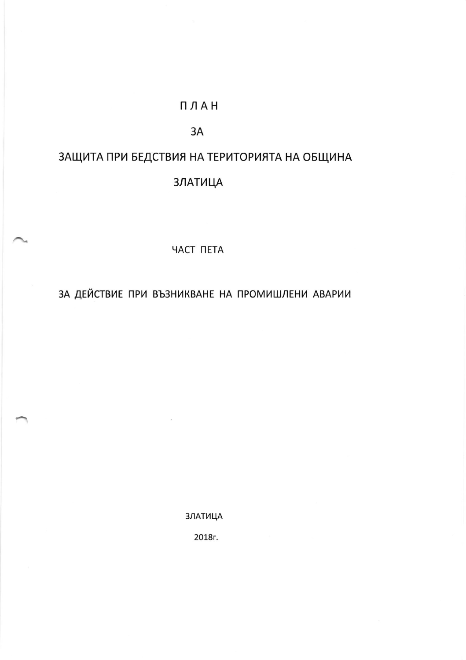## ПЛАН

### 3A

# ЗАЩИТА ПРИ БЕДСТВИЯ НА ТЕРИТОРИЯТА НА ОБЩИНА

## **ЗЛАТИЦА**

#### *HACT TIETA*

## ЗА ДЕЙСТВИЕ ПРИ ВЪЗНИКВАНЕ НА ПРОМИШЛЕНИ АВАРИИ

**ЗЛАТИЦА** 

2018г.